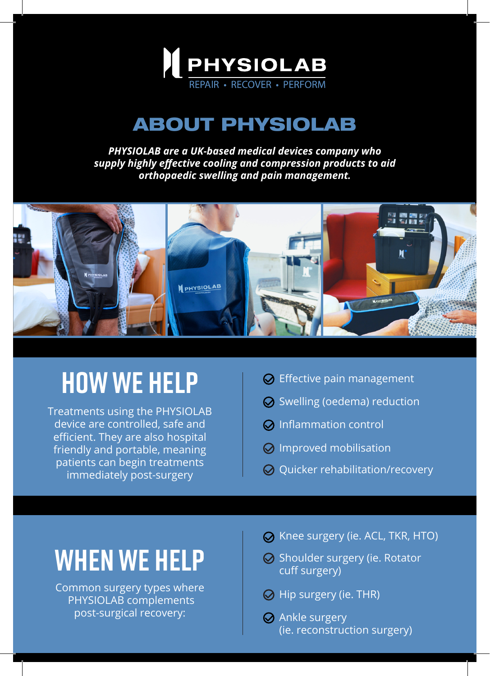

#### ABOUT PHYSIOLAB

*PHYSIOLAB are a UK-based medical devices company who supply highly effective cooling and compression products to aid orthopaedic swelling and pain management.* 



## **HOW WE HELP**

Treatments using the PHYSIOLAB device are controlled, safe and efficient. They are also hospital friendly and portable, meaning patients can begin treatments immediately post-surgery

- $\odot$  Effective pain management
- $\odot$  Swelling (oedema) reduction
- $\odot$  Inflammation control
- $\odot$  Improved mobilisation
- $\odot$  Quicker rehabilitation/recovery

## **WHEN WE HELP**

Common surgery types where  $\overline{Q}$  Hip surgery (ie. THR) PHYSIOLAB complements post-surgical recovery:

- **⊘** Knee surgery (ie. ACL, TKR, HTO)
- $\odot$  Shoulder surgery (ie. Rotator cuff surgery)
- 
- **⊘** Ankle surgery (ie. reconstruction surgery)